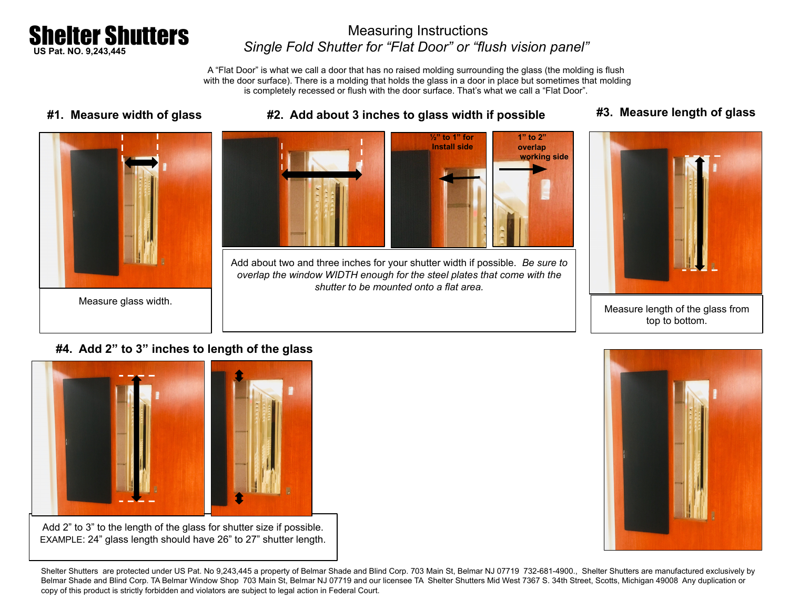

## Measuring Instructions *Single Fold Shutter for "Flat Door" or "flush vision panel"*

A "Flat Door" is what we call a door that has no raised molding surrounding the glass (the molding is flush with the door surface). There is a molding that holds the glass in a door in place but sometimes that molding is completely recessed or flush with the door surface. That's what we call a "Flat Door".





Add about two and three inches for your shutter width if possible. *Be sure to overlap the window WIDTH enough for the steel plates that come with the shutter to be mounted onto a flat area.* 

### **#1. Measure width of glass #2. Add about 3 inches to glass width if possible #3. Measure length of glass**



Measure length of the glass from top to bottom.

### **#4. Add 2" to 3" inches to length of the glass**



EXAMPLE: 24" glass length should have 26" to 27" shutter length.



Shelter Shutters are protected under US Pat. No 9,243,445 a property of Belmar Shade and Blind Corp. 703 Main St, Belmar NJ 07719 732-681-4900., Shelter Shutters are manufactured exclusively by Belmar Shade and Blind Corp. TA Belmar Window Shop 703 Main St, Belmar NJ 07719 and our licensee TA Shelter Shutters Mid West 7367 S. 34th Street, Scotts, Michigan 49008 Any duplication or copy of this product is strictly forbidden and violators are subject to legal action in Federal Court.